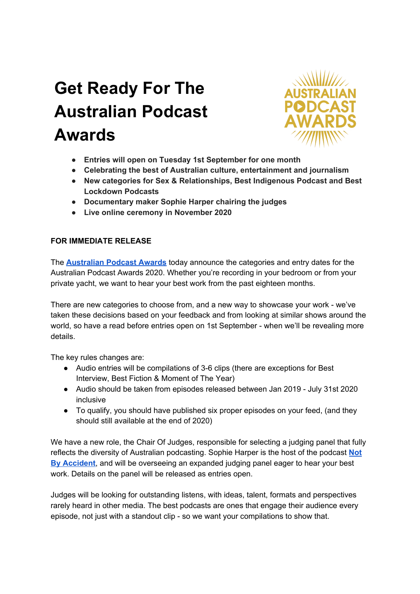# **Get Ready For The Australian Podcast Awards**



- **● Entries will open on Tuesday 1st September for one month**
- **● Celebrating the best of Australian culture, entertainment and journalism**
- **● New categories for Sex & Relationships, Best Indigenous Podcast and Best Lockdown Podcasts**
- **● Documentary maker Sophie Harper chairing the judges**
- **● Live online ceremony in November 2020**

# **FOR IMMEDIATE RELEASE**

The **[Australian](https://australianpodcastawards.com/) Podcast Awards** today announce the categories and entry dates for the Australian Podcast Awards 2020. Whether you're recording in your bedroom or from your private yacht, we want to hear your best work from the past eighteen months.

There are new categories to choose from, and a new way to showcase your work - we've taken these decisions based on your feedback and from looking at similar shows around the world, so have a read before entries open on 1st September - when we'll be revealing more details.

The key rules changes are:

- Audio entries will be compilations of 3-6 clips (there are exceptions for Best Interview, Best Fiction & Moment of The Year)
- Audio should be taken from episodes released between Jan 2019 July 31st 2020 inclusive
- To qualify, you should have published six proper episodes on your feed, (and they should still available at the end of 2020)

We have a new role, the Chair Of Judges, responsible for selecting a judging panel that fully reflects the diversity of Australian podcasting. Sophie Harper is the host of the podcast **[Not](https://podfollow.com/1095859621) By [Accident](https://podfollow.com/1095859621)**, and will be overseeing an expanded judging panel eager to hear your best work. Details on the panel will be released as entries open.

Judges will be looking for outstanding listens, with ideas, talent, formats and perspectives rarely heard in other media. The best podcasts are ones that engage their audience every episode, not just with a standout clip - so we want your compilations to show that.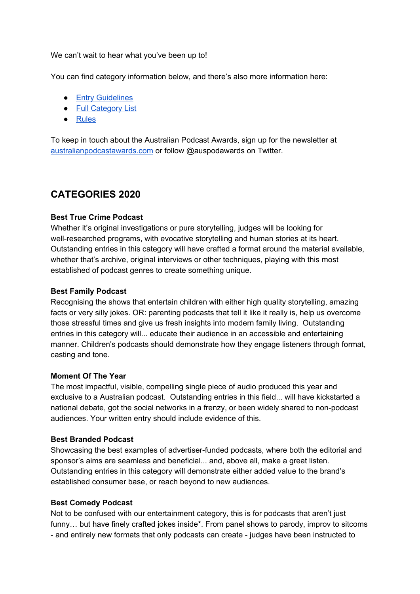We can't wait to hear what you've been up to!

You can find category information below, and there's also more information here:

- Entry [Guidelines](https://australianpodcastawards.com/entry-guidelines-2020)
- Full [Category](https://australianpodcastawards.com/categories-2020) List
- [Rules](https://australianpodcastawards.com/rules2020)

To keep in touch about the Australian Podcast Awards, sign up for the newsletter at [australianpodcastawards.com](https://australianpodcastawards.com/) or follow @auspodawards on Twitter.

# **CATEGORIES 2020**

# **Best True Crime Podcast**

Whether it's original investigations or pure storytelling, judges will be looking for well-researched programs, with evocative storytelling and human stories at its heart. Outstanding entries in this category will have crafted a format around the material available, whether that's archive, original interviews or other techniques, playing with this most established of podcast genres to create something unique.

#### **Best Family Podcast**

Recognising the shows that entertain children with either high quality storytelling, amazing facts or very silly jokes. OR: parenting podcasts that tell it like it really is, help us overcome those stressful times and give us fresh insights into modern family living. Outstanding entries in this category will... educate their audience in an accessible and entertaining manner. Children's podcasts should demonstrate how they engage listeners through format, casting and tone.

#### **Moment Of The Year**

The most impactful, visible, compelling single piece of audio produced this year and exclusive to a Australian podcast. Outstanding entries in this field... will have kickstarted a national debate, got the social networks in a frenzy, or been widely shared to non-podcast audiences. Your written entry should include evidence of this.

#### **Best Branded Podcast**

Showcasing the best examples of advertiser-funded podcasts, where both the editorial and sponsor's aims are seamless and beneficial... and, above all, make a great listen. Outstanding entries in this category will demonstrate either added value to the brand's established consumer base, or reach beyond to new audiences.

#### **Best Comedy Podcast**

Not to be confused with our entertainment category, this is for podcasts that aren't just funny… but have finely crafted jokes inside\*. From panel shows to parody, improv to sitcoms - and entirely new formats that only podcasts can create - judges have been instructed to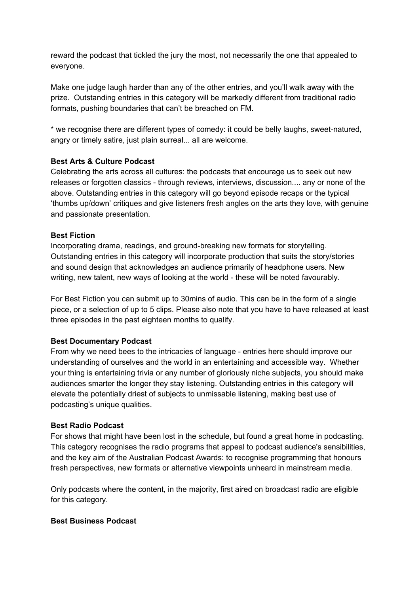reward the podcast that tickled the jury the most, not necessarily the one that appealed to everyone.

Make one judge laugh harder than any of the other entries, and you'll walk away with the prize. Outstanding entries in this category will be markedly different from traditional radio formats, pushing boundaries that can't be breached on FM.

\* we recognise there are different types of comedy: it could be belly laughs, sweet-natured, angry or timely satire, just plain surreal... all are welcome.

# **Best Arts & Culture Podcast**

Celebrating the arts across all cultures: the podcasts that encourage us to seek out new releases or forgotten classics - through reviews, interviews, discussion.... any or none of the above. Outstanding entries in this category will go beyond episode recaps or the typical 'thumbs up/down' critiques and give listeners fresh angles on the arts they love, with genuine and passionate presentation.

#### **Best Fiction**

Incorporating drama, readings, and ground-breaking new formats for storytelling. Outstanding entries in this category will incorporate production that suits the story/stories and sound design that acknowledges an audience primarily of headphone users. New writing, new talent, new ways of looking at the world - these will be noted favourably.

For Best Fiction you can submit up to 30mins of audio. This can be in the form of a single piece, or a selection of up to 5 clips. Please also note that you have to have released at least three episodes in the past eighteen months to qualify.

#### **Best Documentary Podcast**

From why we need bees to the intricacies of language - entries here should improve our understanding of ourselves and the world in an entertaining and accessible way. Whether your thing is entertaining trivia or any number of gloriously niche subjects, you should make audiences smarter the longer they stay listening. Outstanding entries in this category will elevate the potentially driest of subjects to unmissable listening, making best use of podcasting's unique qualities.

#### **Best Radio Podcast**

For shows that might have been lost in the schedule, but found a great home in podcasting. This category recognises the radio programs that appeal to podcast audience's sensibilities, and the key aim of the Australian Podcast Awards: to recognise programming that honours fresh perspectives, new formats or alternative viewpoints unheard in mainstream media.

Only podcasts where the content, in the majority, first aired on broadcast radio are eligible for this category.

#### **Best Business Podcast**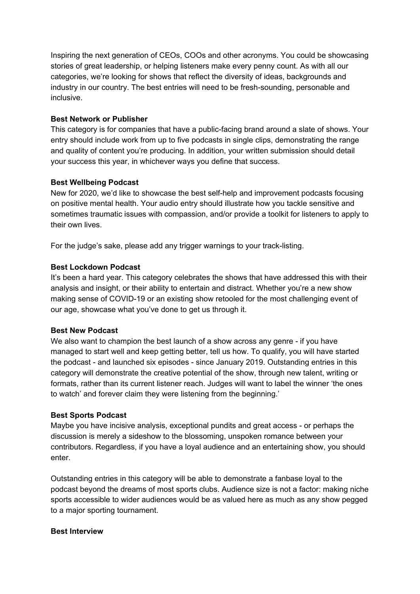Inspiring the next generation of CEOs, COOs and other acronyms. You could be showcasing stories of great leadership, or helping listeners make every penny count. As with all our categories, we're looking for shows that reflect the diversity of ideas, backgrounds and industry in our country. The best entries will need to be fresh-sounding, personable and inclusive.

#### **Best Network or Publisher**

This category is for companies that have a public-facing brand around a slate of shows. Your entry should include work from up to five podcasts in single clips, demonstrating the range and quality of content you're producing. In addition, your written submission should detail your success this year, in whichever ways you define that success.

# **Best Wellbeing Podcast**

New for 2020, we'd like to showcase the best self-help and improvement podcasts focusing on positive mental health. Your audio entry should illustrate how you tackle sensitive and sometimes traumatic issues with compassion, and/or provide a toolkit for listeners to apply to their own lives.

For the judge's sake, please add any trigger warnings to your track-listing.

#### **Best Lockdown Podcast**

It's been a hard year. This category celebrates the shows that have addressed this with their analysis and insight, or their ability to entertain and distract. Whether you're a new show making sense of COVID-19 or an existing show retooled for the most challenging event of our age, showcase what you've done to get us through it.

#### **Best New Podcast**

We also want to champion the best launch of a show across any genre - if you have managed to start well and keep getting better, tell us how. To qualify, you will have started the podcast - and launched six episodes - since January 2019. Outstanding entries in this category will demonstrate the creative potential of the show, through new talent, writing or formats, rather than its current listener reach. Judges will want to label the winner 'the ones to watch' and forever claim they were listening from the beginning.'

#### **Best Sports Podcast**

Maybe you have incisive analysis, exceptional pundits and great access - or perhaps the discussion is merely a sideshow to the blossoming, unspoken romance between your contributors. Regardless, if you have a loyal audience and an entertaining show, you should enter.

Outstanding entries in this category will be able to demonstrate a fanbase loyal to the podcast beyond the dreams of most sports clubs. Audience size is not a factor: making niche sports accessible to wider audiences would be as valued here as much as any show pegged to a major sporting tournament.

#### **Best Interview**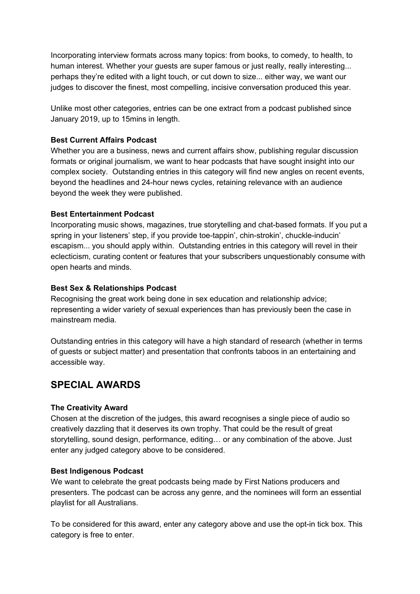Incorporating interview formats across many topics: from books, to comedy, to health, to human interest. Whether your guests are super famous or just really, really interesting... perhaps they're edited with a light touch, or cut down to size... either way, we want our judges to discover the finest, most compelling, incisive conversation produced this year.

Unlike most other categories, entries can be one extract from a podcast published since January 2019, up to 15mins in length.

### **Best Current Affairs Podcast**

Whether you are a business, news and current affairs show, publishing regular discussion formats or original journalism, we want to hear podcasts that have sought insight into our complex society. Outstanding entries in this category will find new angles on recent events, beyond the headlines and 24-hour news cycles, retaining relevance with an audience beyond the week they were published.

#### **Best Entertainment Podcast**

Incorporating music shows, magazines, true storytelling and chat-based formats. If you put a spring in your listeners' step, if you provide toe-tappin', chin-strokin', chuckle-inducin' escapism... you should apply within. Outstanding entries in this category will revel in their eclecticism, curating content or features that your subscribers unquestionably consume with open hearts and minds.

#### **Best Sex & Relationships Podcast**

Recognising the great work being done in sex education and relationship advice; representing a wider variety of sexual experiences than has previously been the case in mainstream media.

Outstanding entries in this category will have a high standard of research (whether in terms of guests or subject matter) and presentation that confronts taboos in an entertaining and accessible way.

# **SPECIAL AWARDS**

# **The Creativity Award**

Chosen at the discretion of the judges, this award recognises a single piece of audio so creatively dazzling that it deserves its own trophy. That could be the result of great storytelling, sound design, performance, editing… or any combination of the above. Just enter any judged category above to be considered.

#### **Best Indigenous Podcast**

We want to celebrate the great podcasts being made by First Nations producers and presenters. The podcast can be across any genre, and the nominees will form an essential playlist for all Australians.

To be considered for this award, enter any category above and use the opt-in tick box. This category is free to enter.